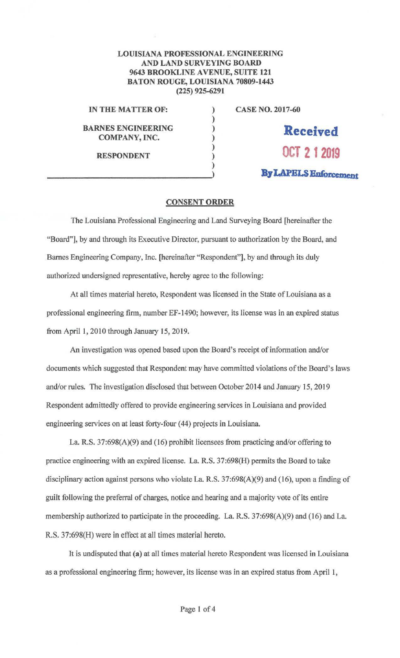## LOUISIANA PROFESSIONAL ENGINEERING AND LAND SURVEYING BOARD 9643 BROOKLINE A VENUE, SUITE 121 BATON ROUGE, LOUISIANA 70809-1443 (225) 925-6291

) ) ) ) ) )

IN THE MATTER OF:  $\qquad$ )

BARNES ENGINEERING COMPANY, INC.

RESPONDENT

CASE NO. 2017-60

**OCT 2 12019 By LAPELS Enforcement** 

**Received** 

## **CONSENT ORDER**

The Louisiana Professional Engineering and Land Surveying Board [hereinafter the ''Board''], by and through its Executive Director, pursuant to authorization by the Board, and Barnes Engineering Company, Inc. [hereinafter "Respondent"], by and through its duly authorized undersigned representative, hereby agree to the fo11owing:

At all times material hereto, Respondent was licensed in the State of Louisiana as a professional engineering firm, number EF-1490; however, its license was in an expired status from April 1, 2010 through January 15, 2019.

An investigation was opened based upon the Board's receipt of information and/or documents which suggested that Respondent may have committed violations of the Board's laws and/or rules. The investigation disclosed that between October 2014 and January 15, 2019 Respondent admittedly offered to provide engineering services in Louisiana and provided engineering services on at least forty-four (44) projects in Louisiana.

La. R.S. 37:698(A)(9) and (16) prohibit licensees from practicing and/or offering to practice engineering with an expired license. La. R.S. 37:698(H) permits the Board to take disciplinary action against persons who violate La. R.S. 37:698(A)(9) and (16), upon a finding of guilt following the preferral of charges, notice and hearing and a majority vote of its entire membership authorized to participate in the proceeding. La. R.S. 37:698(A)(9) and (16) and La. R.S. 37:698(H) were in effect at all times material hereto.

It is undisputed that (a) at all times material hereto Respondent was licensed in Louisiana as a professional engineering firm; however, its license was in an expired status from April 1,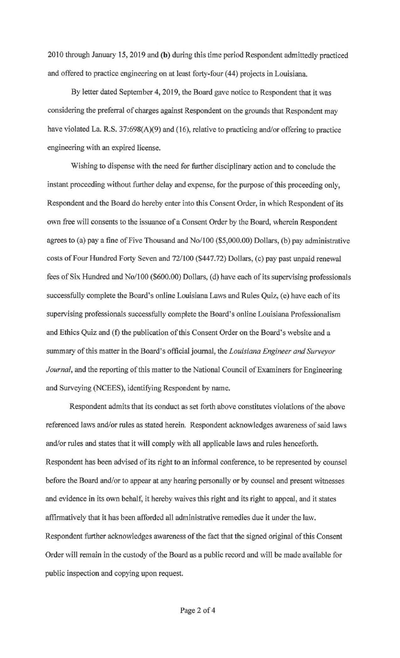2010 through January 15, 2019 and **(b)** during this time period Respondent admittedly practiced and offered to practice engineering on at least forty-four (44) projects in Louisiana.

By letter dated September 4, 2019, the Board gave notice to Respondent that it was considering the preferral of charges against Respondent on the grounds that Respondent may have violated La. R.S. 37:698(A)(9) and (16), relative to practicing and/or offering to practice engineering with an expired license.

Wishing to dispense with the need for further disciplinary action and to conclude the instant proceeding without further delay and expense, for the purpose of this proceeding only, Respondent and the Board do hereby enter into this Consent Order, in which Respondent of its own free will consents to the issuance of a Consent Order by the Board, wherein Respondent agrees to (a) pay a fine of Five Thousand and No/100 (\$5,000.00) Dollars, (b) pay administrative costs of Four Hundred Forty Seven and 72/100 (\$447.72) Dollars, (c) pay past unpaid renewal fees of Six Hundred and No/100 (\$600.00) Dollars, ( d) have each of its supervising professionals successfully complete the Board's online Louisiana Laws and Rules Quiz, (e) have each of its supervising professionals successfully complete the Board's online Louisiana Professionalism and Ethics Quiz and (t) the publication of this Consent Order on the Board's website and a summary of this matter in the Board's official journal, the *Louisiana Engineer and Surveyor Journal,* and the reporting of this matter to the National Council of Examiners for Engineering and Surveying (NCEES), identifying Respondent by name.

Respondent admits that its conduct as set forth above constitutes violations of the above referenced laws and/or rules as stated herein. Respondent acknowledges awareness of said laws and/or rules and states that it will comply with all applicable laws and rules henceforth. Respondent has been advised of its right to an informal conference, to be represented by counsel before the Board and/or to appear at any hearing personally or by counsel and present witnesses and evidence in its own behalf, it hereby waives this right and its right to appeal, and it states affirmatively that it has been afforded all administrative remedies due it under the law. Respondent further acknowledges awareness of the fact that the signed original of this Consent Order will remain in the custody of the Board as a public record and will be made available for public inspection and copying upon request.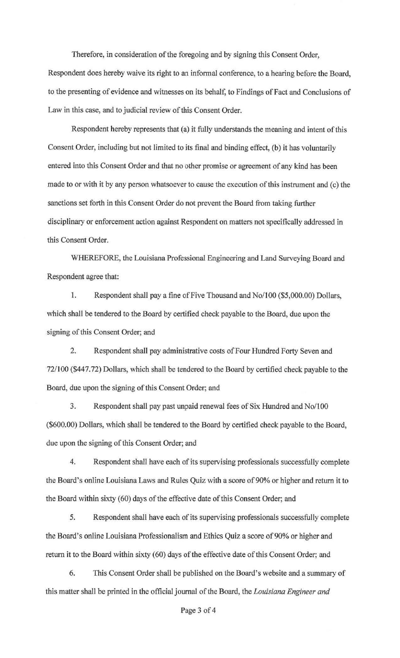Therefore, in consideration of the foregoing and by signing this Consent Order,

Respondent does hereby waive its right to an informal conference, to a hearing before the Board, to the presenting of evidence and witnesses on its behalf, to Findings of Fact and Conclusions of Law in this case, and to judicial review of this Consent Order.

Respondent hereby represents that (a) it fully understands the meaning and intent of this Consent Order, including but not limited to its final and binding effect, (b) it has voluntarily entered into this Consent Order and that no other promise or agreement of any kind has been made to or with it by any person whatsoever to cause the execution of this instrument and (c) the sanctions set forth in this Consent Order do not prevent the Board from taking further disciplinary or enforcement action against Respondent on matters not specifically addressed in this Consent Order.

WHEREFORE, the Louisiana Professional Engineering and Land Surveying Board and Respondent agree that:

I. Respondent shall pay a fine of Five Thousand and No/100 (\$5,000.00) Dollars, which shall be tendered to the Board by certified check payable to the Board, due upon the signing of this Consent Order; and

2. Respondent shall pay administrative costs of Four Hundred Forty Seven and 72/100 (\$447.72) Dollars, which shall be tendered to the Board by certified check payable to the Board, due upon the signing of this Consent Order; and

3. Respondent shall pay past unpaid renewal fees of Six Hundred and No/100 (\$600.00) Dollars, which shall be tendered to the Board by certified check payable to the Board, due upon the signing of this Consent Order; and

4. Respondent shall have each of its supervising professionals successfully complete the Board's online Louisiana Laws and Rules Quiz with a score of 90% or higher and return it to the Board within sixty (60) days of the effective date of this Consent Order; and

5. Respondent shall have each of its supervising professionals successfully complete the Board's online Louisiana Professionalism and Ethics Quiz a score of 90% or higher and return it to the Board within sixty (60) days of the effective date of this Consent Order; and

6. This Consent Order shall be published on the Board's website and a summary of this matter shall be printed in the official journal of the Board, the *Louisiana Engineer and*